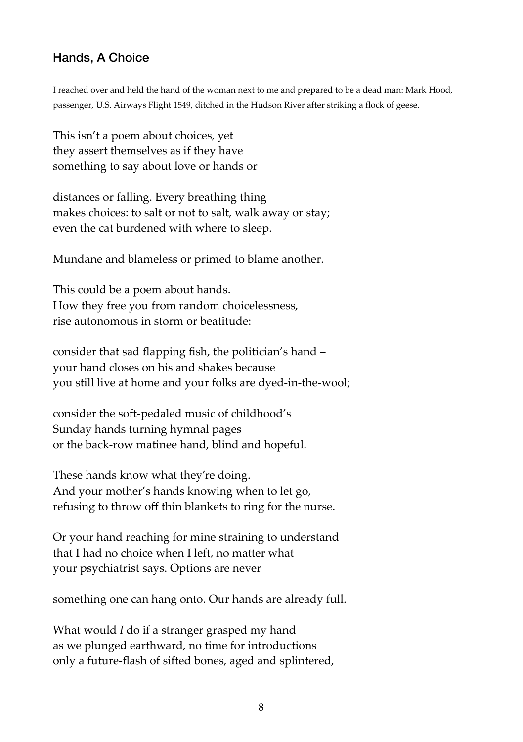## Hands, A Choice

I reached over and held the hand of the woman next to me and prepared to be a dead man: Mark Hood, passenger, U.S. Airways Flight 1549, ditched in the Hudson River after striking a flock of geese.

This isn't a poem about choices, yet they assert themselves as if they have something to say about love or hands or

distances or falling. Every breathing thing makes choices: to salt or not to salt, walk away or stay; even the cat burdened with where to sleep.

Mundane and blameless or primed to blame another.

This could be a poem about hands. How they free you from random choicelessness, rise autonomous in storm or beatitude:

consider that sad flapping fish, the politician's hand – your hand closes on his and shakes because you still live at home and your folks are dyed-in-the-wool;

consider the soft-pedaled music of childhood's Sunday hands turning hymnal pages or the back-row matinee hand, blind and hopeful.

These hands know what they're doing. And your mother's hands knowing when to let go, refusing to throw off thin blankets to ring for the nurse.

Or your hand reaching for mine straining to understand that I had no choice when I left, no matter what your psychiatrist says. Options are never

something one can hang onto. Our hands are already full.

What would *I* do if a stranger grasped my hand as we plunged earthward, no time for introductions only a future-flash of sifted bones, aged and splintered,